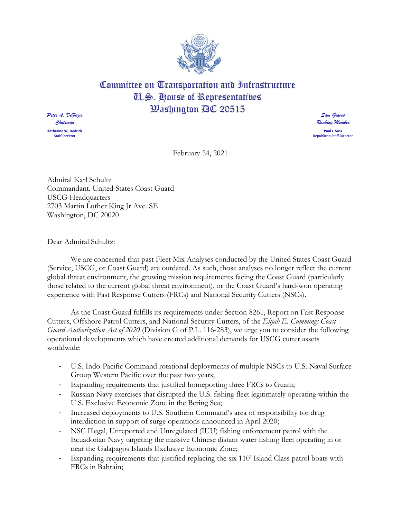

## Committee on Transportation and Infrastructure Cl.S. House of Representatives **Washington AC 20515**

*Peter A. DeFazio Chairman* **Katherine W. Dedrick** Staff Director

*Sam Graves Ranking Member* **Paul J. Sass** Republican Staff Director

February 24, 2021

Admiral Karl Schultz Commandant, United States Coast Guard USCG Headquarters 2703 Martin Luther King Jr Ave. SE Washington, DC 20020

Dear Admiral Schultz:

We are concerned that past Fleet Mix Analyses conducted by the United States Coast Guard (Service, USCG, or Coast Guard) are outdated. As such, those analyses no longer reflect the current global threat environment, the growing mission requirements facing the Coast Guard (particularly those related to the current global threat environment), or the Coast Guard's hard-won operating experience with Fast Response Cutters (FRCs) and National Security Cutters (NSCs).

As the Coast Guard fulfills its requirements under Section 8261, Report on Fast Response Cutters, Offshore Patrol Cutters, and National Security Cutters, of the *Elijah E. Cummings Coast Guard Authorization Act of 2020* (Division G of P.L. 116-283), we urge you to consider the following operational developments which have created additional demands for USCG cutter assets worldwide:

- U.S. Indo-Pacific Command rotational deployments of multiple NSCs to U.S. Naval Surface Group Western Pacific over the past two years;
- Expanding requirements that justified homeporting three FRCs to Guam;
- Russian Navy exercises that disrupted the U.S. fishing fleet legitimately operating within the U.S. Exclusive Economic Zone in the Bering Sea;
- Increased deployments to U.S. Southern Command's area of responsibility for drug interdiction in support of surge operations announced in April 2020;
- NSC Illegal, Unreported and Unregulated (IUU) fishing enforcement patrol with the Ecuadorian Navy targeting the massive Chinese distant water fishing fleet operating in or near the Galapagos Islands Exclusive Economic Zone;
- Expanding requirements that justified replacing the six 110' Island Class patrol boats with FRCs in Bahrain;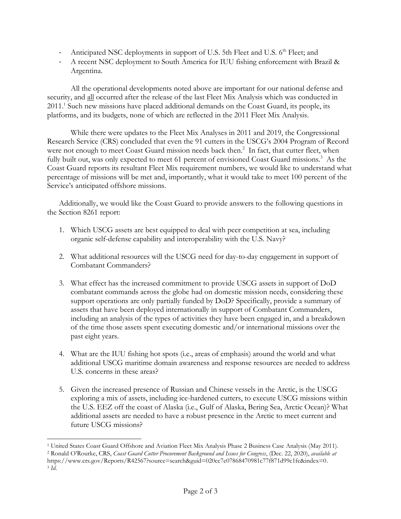- Anticipated NSC deployments in support of U.S. 5th Fleet and U.S. 6<sup>th</sup> Fleet; and
- A recent NSC deployment to South America for IUU fishing enforcement with Brazil & Argentina.

All the operational developments noted above are important for our national defense and security, and all occurred after the release of the last Fleet Mix Analysis which was conducted in 2011.<sup>1</sup> Such new missions have placed additional demands on the Coast Guard, its people, its platforms, and its budgets, none of which are reflected in the 2011 Fleet Mix Analysis.

While there were updates to the Fleet Mix Analyses in 2011 and 2019, the Congressional Research Service (CRS) concluded that even the 91 cutters in the USCG's 2004 Program of Record were not enough to meet Coast Guard mission needs back then.<sup>2</sup> In fact, that cutter fleet, when fully built out, was only expected to meet 61 percent of envisioned Coast Guard missions.<sup>3</sup> As the Coast Guard reports its resultant Fleet Mix requirement numbers, we would like to understand what percentage of missions will be met and, importantly, what it would take to meet 100 percent of the Service's anticipated offshore missions.

Additionally, we would like the Coast Guard to provide answers to the following questions in the Section 8261 report:

- 1. Which USCG assets are best equipped to deal with peer competition at sea, including organic self-defense capability and interoperability with the U.S. Navy?
- 2. What additional resources will the USCG need for day-to-day engagement in support of Combatant Commanders?
- 3. What effect has the increased commitment to provide USCG assets in support of DoD combatant commands across the globe had on domestic mission needs, considering these support operations are only partially funded by DoD? Specifically, provide a summary of assets that have been deployed internationally in support of Combatant Commanders, including an analysis of the types of activities they have been engaged in, and a breakdown of the time those assets spent executing domestic and/or international missions over the past eight years.
- 4. What are the IUU fishing hot spots (i.e., areas of emphasis) around the world and what additional USCG maritime domain awareness and response resources are needed to address U.S. concerns in these areas?
- 5. Given the increased presence of Russian and Chinese vessels in the Arctic, is the USCG exploring a mix of assets, including ice-hardened cutters, to execute USCG missions within the U.S. EEZ off the coast of Alaska (i.e., Gulf of Alaska, Bering Sea, Arctic Ocean)? What additional assets are needed to have a robust presence in the Arctic to meet current and future USCG missions?

<sup>1</sup> United States Coast Guard Offshore and Aviation Fleet Mix Analysis Phase 2 Business Case Analysis (May 2011). <sup>2</sup> Ronald O'Rourke, CRS, *Coast Guard Cutter Procurement Background and Issues for Congress*, (Dec. 22, 2020), *available at* https://www.crs.gov/Reports/R42567?source=search&guid=020cc7e07868470981c77f871d99c1fc&index=0.

<sup>3</sup> *Id*.